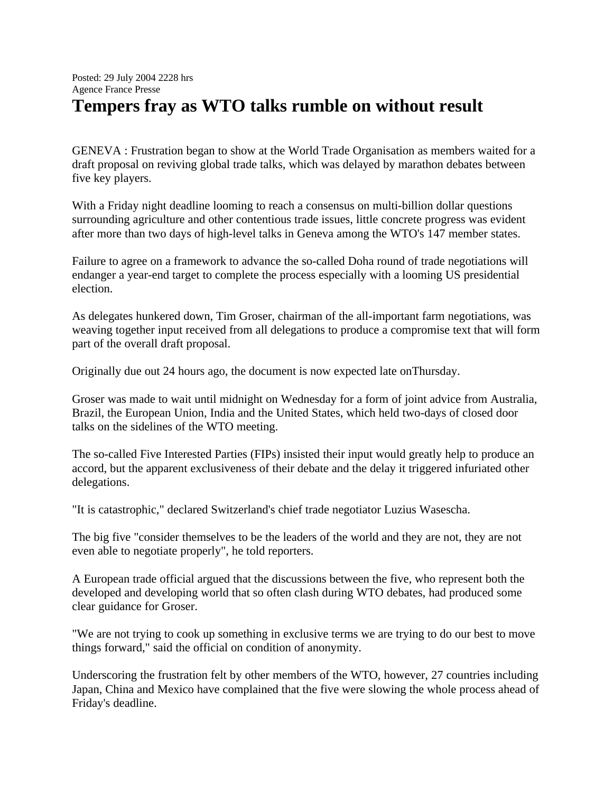## Posted: 29 July 2004 2228 hrs Agence France Presse **Tempers fray as WTO talks rumble on without result**

GENEVA : Frustration began to show at the World Trade Organisation as members waited for a draft proposal on reviving global trade talks, which was delayed by marathon debates between five key players.

With a Friday night deadline looming to reach a consensus on multi-billion dollar questions surrounding agriculture and other contentious trade issues, little concrete progress was evident after more than two days of high-level talks in Geneva among the WTO's 147 member states.

Failure to agree on a framework to advance the so-called Doha round of trade negotiations will endanger a year-end target to complete the process especially with a looming US presidential election.

As delegates hunkered down, Tim Groser, chairman of the all-important farm negotiations, was weaving together input received from all delegations to produce a compromise text that will form part of the overall draft proposal.

Originally due out 24 hours ago, the document is now expected late onThursday.

Groser was made to wait until midnight on Wednesday for a form of joint advice from Australia, Brazil, the European Union, India and the United States, which held two-days of closed door talks on the sidelines of the WTO meeting.

The so-called Five Interested Parties (FIPs) insisted their input would greatly help to produce an accord, but the apparent exclusiveness of their debate and the delay it triggered infuriated other delegations.

"It is catastrophic," declared Switzerland's chief trade negotiator Luzius Wasescha.

The big five "consider themselves to be the leaders of the world and they are not, they are not even able to negotiate properly", he told reporters.

A European trade official argued that the discussions between the five, who represent both the developed and developing world that so often clash during WTO debates, had produced some clear guidance for Groser.

"We are not trying to cook up something in exclusive terms we are trying to do our best to move things forward," said the official on condition of anonymity.

Underscoring the frustration felt by other members of the WTO, however, 27 countries including Japan, China and Mexico have complained that the five were slowing the whole process ahead of Friday's deadline.